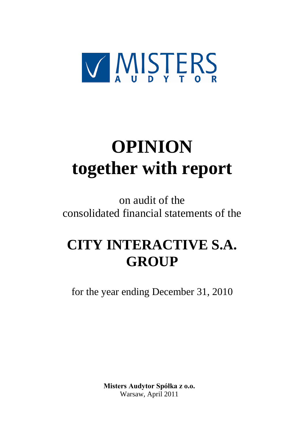

# **OPINION together with report**

on audit of the consolidated financial statements of the

# **CITY INTERACTIVE S.A. GROUP**

for the year ending December 31, 2010

**Misters Audytor Spółka z o.o.** Warsaw, April 2011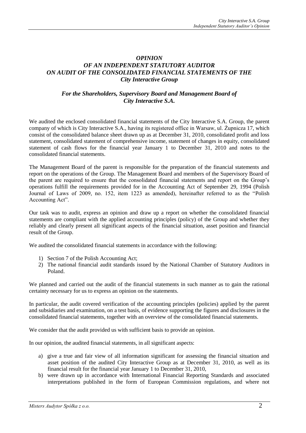## *OPINION OF AN INDEPENDENT STATUTORY AUDITOR ON AUDIT OF THE CONSOLIDATED FINANCIAL STATEMENTS OF THE City Interactive Group*

# *For the Shareholders, Supervisory Board and Management Board of City Interactive S.A.*

We audited the enclosed consolidated financial statements of the City Interactive S.A. Group, the parent company of which is City Interactive S.A., having its registered office in Warsaw, ul. Żupnicza 17, which consist of the consolidated balance sheet drawn up as at December 31, 2010, consolidated profit and loss statement, consolidated statement of comprehensive income, statement of changes in equity, consolidated statement of cash flows for the financial year January 1 to December 31, 2010 and notes to the consolidated financial statements.

The Management Board of the parent is responsible for the preparation of the financial statements and report on the operations of the Group. The Management Board and members of the Supervisory Board of the parent are required to ensure that the consolidated financial statements and report on the Group's operations fulfill the requirements provided for in the Accounting Act of September 29, 1994 (Polish Journal of Laws of 2009, no. 152, item 1223 as amended), hereinafter referred to as the "Polish Accounting Act".

Our task was to audit, express an opinion and draw up a report on whether the consolidated financial statements are compliant with the applied accounting principles (policy) of the Group and whether they reliably and clearly present all significant aspects of the financial situation, asset position and financial result of the Group.

We audited the consolidated financial statements in accordance with the following:

- 1) Section 7 of the Polish Accounting Act;
- 2) The national financial audit standards issued by the National Chamber of Statutory Auditors in Poland.

We planned and carried out the audit of the financial statements in such manner as to gain the rational certainty necessary for us to express an opinion on the statements.

In particular, the audit covered verification of the accounting principles (policies) applied by the parent and subsidiaries and examination, on a test basis, of evidence supporting the figures and disclosures in the consolidated financial statements, together with an overview of the consolidated financial statements.

We consider that the audit provided us with sufficient basis to provide an opinion.

In our opinion, the audited financial statements, in all significant aspects:

- a) give a true and fair view of all information significant for assessing the financial situation and asset position of the audited City Interactive Group as at December 31, 2010, as well as its financial result for the financial year January 1 to December 31, 2010,
- b) were drawn up in accordance with International Financial Reporting Standards and associated interpretations published in the form of European Commission regulations, and where not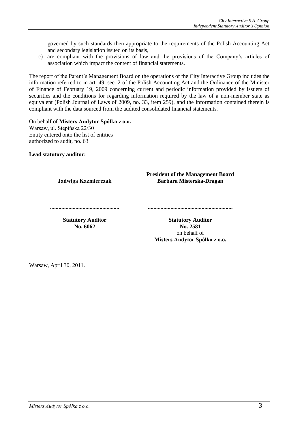governed by such standards then appropriate to the requirements of the Polish Accounting Act and secondary legislation issued on its basis,

c) are compliant with the provisions of law and the provisions of the Company's articles of association which impact the content of financial statements.

The report of the Parent's Management Board on the operations of the City Interactive Group includes the information referred to in art. 49, sec. 2 of the Polish Accounting Act and the Ordinance of the Minister of Finance of February 19, 2009 concerning current and periodic information provided by issuers of securities and the conditions for regarding information required by the law of a non-member state as equivalent (Polish Journal of Laws of 2009, no. 33, item 259), and the information contained therein is compliant with the data sourced from the audited consolidated financial statements.

#### On behalf of **Misters Audytor Spółka z o.o.**

Warsaw, ul. Stępińska 22/30 Entity entered onto the list of entities authorized to audit, no. 63

**Lead statutory auditor:**

**Jadwiga Kaźmierczak**

**President of the Management Board Barbara Misterska-Dragan**

**.................................................**

**Statutory Auditor No. 6062**

**Statutory Auditor No. 2581** on behalf of **Misters Audytor Spółka z o.o.**

**............................................................**

Warsaw, April 30, 2011.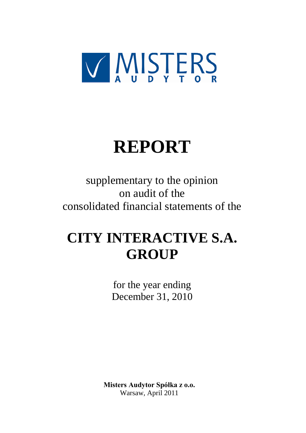

# **REPORT**

supplementary to the opinion on audit of the consolidated financial statements of the

# **CITY INTERACTIVE S.A. GROUP**

for the year ending December 31, 2010

**Misters Audytor Spółka z o.o.** Warsaw, April 2011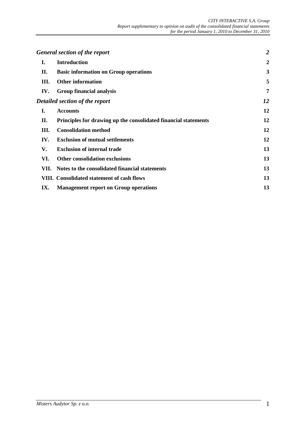|      | <b>General section of the report</b>                            | $\overline{2}$   |
|------|-----------------------------------------------------------------|------------------|
| Ι.   | <b>Introduction</b>                                             | $\boldsymbol{2}$ |
| П.   | <b>Basic information on Group operations</b>                    | 3                |
| Ш.   | <b>Other information</b>                                        | 5                |
| IV.  | <b>Group financial analysis</b>                                 | 7                |
|      | Detailed section of the report                                  | 12               |
| I.   | <b>Accounts</b>                                                 | 12               |
| П.   | Principles for drawing up the consolidated financial statements | 12               |
| Ш.   | <b>Consolidation method</b>                                     | 12               |
| IV.  | <b>Exclusion of mutual settlements</b>                          | 12               |
| V.   | <b>Exclusion of internal trade</b>                              | 13               |
| VI.  | <b>Other consolidation exclusions</b>                           | 13               |
| VII. | Notes to the consolidated financial statements                  | 13               |
|      | VIII. Consolidated statement of cash flows                      | 13               |
| IX.  | <b>Management report on Group operations</b>                    | 13               |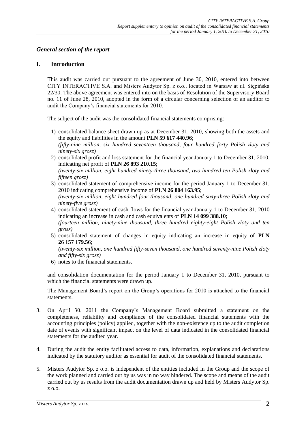#### *General section of the report*

#### **I. Introduction**

This audit was carried out pursuant to the agreement of June 30, 2010, entered into between CITY INTERACTIVE S.A. and Misters Audytor Sp. z o.o., located in Warsaw at ul. Stępińska 22/30. The above agreement was entered into on the basis of Resolution of the Supervisory Board no. 11 of June 28, 2010, adopted in the form of a circular concerning selection of an auditor to audit the Company's financial statements for 2010.

The subject of the audit was the consolidated financial statements comprising:

- 1) consolidated balance sheet drawn up as at December 31, 2010, showing both the assets and the equity and liabilities in the amount **PLN 59 617 440.96**; *(fifty-nine million, six hundred seventeen thousand, four hundred forty Polish zloty and ninety-six grosz)*
- 2) consolidated profit and loss statement for the financial year January 1 to December 31, 2010, indicating net profit of **PLN 26 893 210.15**; *(twenty-six million, eight hundred ninety-three thousand, two hundred ten Polish zloty and*

*fifteen grosz)*

- 3) consolidated statement of comprehensive income for the period January 1 to December 31, 2010 indicating comprehensive income of **PLN 26 804 163.95**; *(twenty-six million, eight hundred four thousand, one hundred sixty-three Polish zloty and ninety-five grosz)*
- 4) consolidated statement of cash flows for the financial year January 1 to December 31, 2010 indicating an increase in cash and cash equivalents of **PLN 14 099 388.10**; *(fourteen million, ninety-nine thousand, three hundred eighty-eight Polish zloty and ten grosz)*
- 5) consolidated statement of changes in equity indicating an increase in equity of **PLN 26 157 179.56**;

*(twenty-six million, one hundred fifty-seven thousand, one hundred seventy-nine Polish zloty and fifty-six grosz)*

6) notes to the financial statements.

and consolidation documentation for the period January 1 to December 31, 2010, pursuant to which the financial statements were drawn up.

The Management Board's report on the Group's operations for 2010 is attached to the financial statements.

- 3. On April 30, 2011 the Company's Management Board submitted a statement on the completeness, reliability and compliance of the consolidated financial statements with the accounting principles (policy) applied, together with the non-existence up to the audit completion date of events with significant impact on the level of data indicated in the consolidated financial statements for the audited year.
- 4. During the audit the entity facilitated access to data, information, explanations and declarations indicated by the statutory auditor as essential for audit of the consolidated financial statements.
- 5. Misters Audytor Sp. z o.o. is independent of the entities included in the Group and the scope of the work planned and carried out by us was in no way hindered. The scope and means of the audit carried out by us results from the audit documentation drawn up and held by Misters Audytor Sp. z o.o.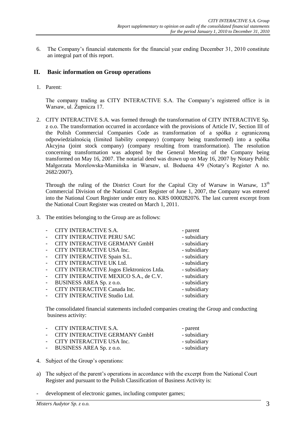6. The Company's financial statements for the financial year ending December 31, 2010 constitute an integral part of this report.

#### **II. Basic information on Group operations**

1. Parent:

The company trading as CITY INTERACTIVE S.A. The Company's registered office is in Warsaw, ul. Żupnicza 17.

2. CITY INTERACTIVE S.A. was formed through the transformation of CITY INTERACTIVE Sp. z o.o. The transformation occurred in accordance with the provisions of Article IV, Section III of the Polish Commercial Companies Code as transformation of a spółka z ograniczoną odpowiedzialnością (limited liability company) (company being transformed) into a spółka Akcyjna (joint stock company) (company resulting from transformation). The resolution concerning transformation was adopted by the General Meeting of the Company being transformed on May 16, 2007. The notarial deed was drawn up on May 16, 2007 by Notary Public Małgorzata Morelowska-Mamińska in Warsaw, ul. Boduena 4/9 (Notary's Register A no. 2682/2007).

Through the ruling of the District Court for the Capital City of Warsaw in Warsaw,  $13<sup>th</sup>$ Commercial Division of the National Court Register of June 1, 2007, the Company was entered into the National Court Register under entry no. KRS 0000282076. The last current excerpt from the National Court Register was created on March 1, 2011.

3. The entities belonging to the Group are as follows:

| CITY INTERACTIVE S.A.                     | - parent     |
|-------------------------------------------|--------------|
| CITY INTERACTIVE PERU SAC                 | - subsidiary |
| CITY INTERACTIVE GERMANY GmbH             | - subsidiary |
| CITY INTERACTIVE USA Inc.                 | - subsidiary |
| CITY INTERACTIVE Spain S.L.               | - subsidiary |
| CITY INTERACTIVE UK Ltd.                  | - subsidiary |
| CITY INTERACTIVE Jogos Elektronicos Ltda. | - subsidiary |
| CITY INTERACTIVE MEXICO S.A., de C.V.     | - subsidiary |
| BUSINESS AREA Sp. z o.o.                  | - subsidiary |
| CITY INTERACTIVE Canada Inc.              | - subsidiary |
| <b>CITY INTERACTIVE Studio Ltd.</b>       | - subsidiary |
|                                           |              |

The consolidated financial statements included companies creating the Group and conducting business activity:

| - CITY INTERACTIVE S.A.         | - parent     |
|---------------------------------|--------------|
| - CITY INTERACTIVE GERMANY GmbH | - subsidiary |
| - CITY INTERACTIVE USA Inc.     | - subsidiary |
| - BUSINESS AREA Sp. z o.o.      | - subsidiary |

- 4. Subject of the Group's operations:
- a) The subject of the parent's operations in accordance with the excerpt from the National Court Register and pursuant to the Polish Classification of Business Activity is:
- development of electronic games, including computer games;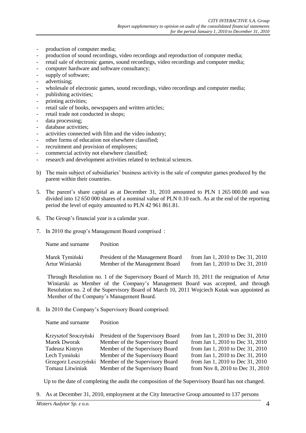- production of computer media;
- production of sound recordings, video recordings and reproduction of computer media;
- retail sale of electronic games, sound recordings, video recordings and computer media;
- computer hardware and software consultancy;
- supply of software;
- advertising;
- wholesale of electronic games, sound recordings, video recordings and computer media;
- publishing activities;
- printing activities;
- retail sale of books, newspapers and written articles;
- retail trade not conducted in shops;
- data processing;
- database activities;
- activities connected with film and the video industry;
- other forms of education not elsewhere classified;
- recruitment and provision of employees;
- commercial activity not elsewhere classified;
- research and development activities related to technical sciences.
- b) The main subject of subsidiaries' business activity is the sale of computer games produced by the parent within their countries.
- 5. The parent's share capital as at December 31, 2010 amounted to PLN 1 265 000.00 and was divided into 12 650 000 shares of a nominal value of PLN 0.10 each. As at the end of the reporting period the level of equity amounted to PLN 42 961 861.81.
- 6. The Group's financial year is a calendar year.
- 7. In 2010 the group's Management Board comprised :

| Name and surname | <b>Position</b>                   |                                  |
|------------------|-----------------------------------|----------------------------------|
| Marek Tymiński   | President of the Management Board | from Jan 1, 2010 to Dec 31, 2010 |
| Artur Winiarski  | Member of the Management Board    | from Jan 1, 2010 to Dec 31, 2010 |

Through Resolution no. 1 of the Supervisory Board of March 10, 2011 the resignation of Artur Winiarski as Member of the Company's Management Board was accepted, and through Resolution no. 2 of the Supervisory Board of March 10, 2011 Wojciech Kutak was appointed as Member of the Company's Management Board.

8. In 2010 the Company's Supervisory Board comprised:

Name and surname Position

| Krzysztof Sroczyński | President of the Supervisory Board | from Jan 1, 2010 to Dec 31, 2010 |
|----------------------|------------------------------------|----------------------------------|
| <b>Marek Dworak</b>  | Member of the Supervisory Board    | from Jan 1, 2010 to Dec 31, 2010 |
| Tadeusz Kistryn      | Member of the Supervisory Board    | from Jan 1, 2010 to Dec 31, 2010 |
| Lech Tymiński        | Member of the Supervisory Board    | from Jan 1, 2010 to Dec 31, 2010 |
| Grzegorz Leszczyński | Member of the Supervisory Board    | from Jan 1, 2010 to Dec 31, 2010 |
| Tomasz Litwiniuk     | Member of the Supervisory Board    | from Nov 8, 2010 to Dec 31, 2010 |

Up to the date of completing the audit the composition of the Supervisory Board has not changed.

9. As at December 31, 2010, employment at the City Interactive Group amounted to 137 persons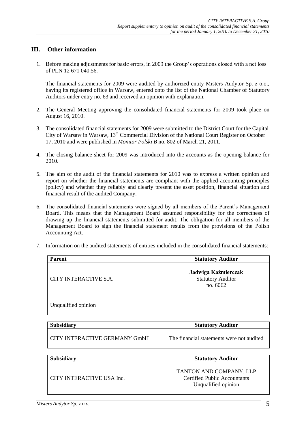#### **III. Other information**

1. Before making adjustments for basic errors, in 2009 the Group's operations closed with a net loss of PLN 12 671 040.56.

The financial statements for 2009 were audited by authorized entity Misters Audytor Sp. z o.o., having its registered office in Warsaw, entered onto the list of the National Chamber of Statutory Auditors under entry no. 63 and received an opinion with explanation.

- 2. The General Meeting approving the consolidated financial statements for 2009 took place on August 16, 2010.
- 3. The consolidated financial statements for 2009 were submitted to the District Court for the Capital City of Warsaw in Warsaw, 13<sup>th</sup> Commercial Division of the National Court Register on October 17, 2010 and were published in *Monitor Polski B* no. 802 of March 21, 2011.
- 4. The closing balance sheet for 2009 was introduced into the accounts as the opening balance for 2010.
- 5. The aim of the audit of the financial statements for 2010 was to express a written opinion and report on whether the financial statements are compliant with the applied accounting principles (policy) and whether they reliably and clearly present the asset position, financial situation and financial result of the audited Company.
- 6. The consolidated financial statements were signed by all members of the Parent's Management Board. This means that the Management Board assumed responsibility for the correctness of drawing up the financial statements submitted for audit. The obligation for all members of the Management Board to sign the financial statement results from the provisions of the Polish Accounting Act.
- 7. Information on the audited statements of entities included in the consolidated financial statements:

| <b>Parent</b>                 | <b>Statutory Auditor</b>                                                              |  |  |
|-------------------------------|---------------------------------------------------------------------------------------|--|--|
| CITY INTERACTIVE S.A.         | Jadwiga Kaźmierczak<br><b>Statutory Auditor</b><br>no. 6062                           |  |  |
| Unqualified opinion           |                                                                                       |  |  |
|                               |                                                                                       |  |  |
| <b>Subsidiary</b>             | <b>Statutory Auditor</b>                                                              |  |  |
| CITY INTERACTIVE GERMANY GmbH | The financial statements were not audited                                             |  |  |
|                               |                                                                                       |  |  |
| <b>Subsidiary</b>             | <b>Statutory Auditor</b>                                                              |  |  |
| CITY INTERACTIVE USA Inc.     | TANTON AND COMPANY, LLP<br><b>Certified Public Accountants</b><br>Unqualified opinion |  |  |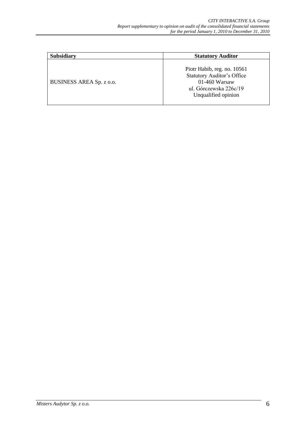| <b>Subsidiary</b>        | <b>Statutory Auditor</b>                                                                                                             |
|--------------------------|--------------------------------------------------------------------------------------------------------------------------------------|
| BUSINESS AREA Sp. z o.o. | Piotr Habib, reg. no. 10561<br><b>Statutory Auditor's Office</b><br>$01-460$ Warsaw<br>ul. Górczewska 226c/19<br>Unqualified opinion |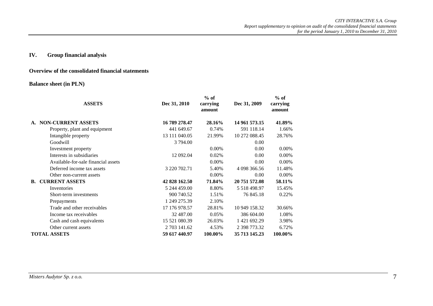#### **IV. Group financial analysis**

#### **Overview of the consolidated financial statements**

#### **Balance sheet (in PLN)**

| <b>ASSETS</b>                       | Dec 31, 2010  | $%$ of<br>carrying<br>amount | Dec 31, 2009   | $%$ of<br>carrying<br>amount |
|-------------------------------------|---------------|------------------------------|----------------|------------------------------|
| <b>NON-CURRENT ASSETS</b><br>A.     | 16 789 278.47 | 28.16%                       | 14 961 573.15  | 41.89%                       |
| Property, plant and equipment       | 441 649.67    | 0.74%                        | 591 118.14     | 1.66%                        |
| Intangible property                 | 13 111 040.05 | 21.99%                       | 10 272 088.45  | 28.76%                       |
| Goodwill                            | 3 794.00      |                              | 0.00           |                              |
| Investment property                 |               | $0.00\%$                     | 0.00           | $0.00\%$                     |
| Interests in subsidiaries           | 12 092.04     | 0.02%                        | 0.00           | 0.00%                        |
| Available-for-sale financial assets |               | 0.00%                        | 0.00           | 0.00%                        |
| Deferred income tax assets          | 3 220 702.71  | 5.40%                        | 4 098 366.56   | 11.48%                       |
| Other non-current assets            |               | $0.00\%$                     | 0.00           | $0.00\%$                     |
| <b>CURRENT ASSETS</b><br><b>B.</b>  | 42 828 162.50 | 71.84%                       | 20 751 572.08  | 58.11%                       |
| Inventories                         | 5 244 459.00  | 8.80%                        | 5 5 18 4 98.97 | 15.45%                       |
| Short-term investments              | 900 740.52    | 1.51%                        | 76 845.18      | 0.22%                        |
| Prepayments                         | 1 249 275.39  | 2.10%                        |                |                              |
| Trade and other receivables         | 17 176 978.57 | 28.81%                       | 10 949 158.32  | 30.66%                       |
| Income tax receivables              | 32 487.00     | 0.05%                        | 386 604.00     | 1.08%                        |
| Cash and cash equivalents           | 15 521 080.39 | 26.03%                       | 1 421 692.29   | 3.98%                        |
| Other current assets                | 2 703 141.62  | 4.53%                        | 2 398 773.32   | 6.72%                        |
| <b>TOTAL ASSETS</b>                 | 59 617 440.97 | 100.00%                      | 35 713 145.23  | 100.00%                      |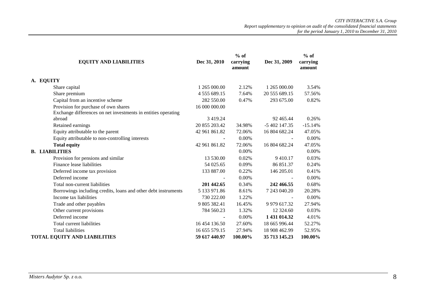|                                                                |               | $%$ of             |                     | $%$ of             |
|----------------------------------------------------------------|---------------|--------------------|---------------------|--------------------|
| <b>EQUITY AND LIABILITIES</b>                                  | Dec 31, 2010  | carrying<br>amount | Dec 31, 2009        | carrying<br>amount |
| A. EQUITY                                                      |               |                    |                     |                    |
| Share capital                                                  | 1 265 000.00  | 2.12%              | 1 265 000.00        | 3.54%              |
| Share premium                                                  | 4 555 689.15  | 7.64%              | 20 555 689.15       | 57.56%             |
| Capital from an incentive scheme                               | 282 550.00    | 0.47%              | 293 675.00          | 0.82%              |
| Provision for purchase of own shares                           | 16 000 000.00 |                    |                     |                    |
| Exchange differences on net investments in entities operating  |               |                    |                     |                    |
| abroad                                                         | 3 4 1 9 . 2 4 |                    | 92 465.44           | 0.26%              |
| Retained earnings                                              | 20 855 203.42 | 34.98%             | -5 402 147.35       | $-15.14%$          |
| Equity attributable to the parent                              | 42 961 861.82 | 72.06%             | 16 804 682.24       | 47.05%             |
| Equity attributable to non-controlling interests               |               | 0.00%              |                     | 0.00%              |
| <b>Total equity</b>                                            | 42 961 861.82 | 72.06%             | 16 804 682.24       | 47.05%             |
| <b>B. LIABILITIES</b>                                          |               | 0.00%              |                     | 0.00%              |
| Provision for pensions and similar                             | 13 530.00     | 0.02%              | 9410.17             | 0.03%              |
| Finance lease liabilities                                      | 54 025.65     | 0.09%              | 86 851.37           | 0.24%              |
| Deferred income tax provision                                  | 133 887.00    | 0.22%              | 146 205.01          | 0.41%              |
| Deferred income                                                |               | 0.00%              |                     | 0.00%              |
| Total non-current liabilities                                  | 201 442.65    | 0.34%              | 242 466.55          | 0.68%              |
| Borrowings including credits, loans and other debt instruments | 5 133 971.86  | 8.61%              | 7 243 040.20        | 20.28%             |
| Income tax liabilities                                         | 730 222.00    | 1.22%              |                     | 0.00%              |
| Trade and other payables                                       | 9 805 382.41  | 16.45%             | 9 9 7 9 6 1 7 . 3 2 | 27.94%             |
| Other current provisions                                       | 784 560.23    | 1.32%              | 12 324.60           | 0.03%              |
| Deferred income                                                |               | 0.00%              | 1 431 014.32        | 4.01%              |
| Total current liabilities                                      | 16 454 136.50 | 27.60%             | 18 665 996.44       | 52.27%             |
| <b>Total liabilities</b>                                       | 16 655 579.15 | 27.94%             | 18 908 462.99       | 52.95%             |
| <b>TOTAL EQUITY AND LIABILITIES</b>                            | 59 617 440.97 | 100.00%            | 35 713 145.23       | 100.00%            |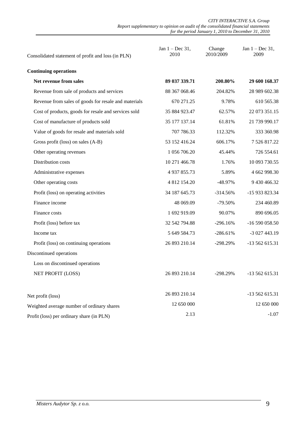| Consolidated statement of profit and loss (in PLN)   | Jan $1 - Dec 31$ ,<br>2010 | Change<br>2010/2009 | Jan $1 - Dec 31$ ,<br>2009 |
|------------------------------------------------------|----------------------------|---------------------|----------------------------|
| <b>Continuing operations</b>                         |                            |                     |                            |
| Net revenue from sales                               | 89 037 339.71              | 200.80%             | 29 600 168.37              |
| Revenue from sale of products and services           | 88 367 068.46              | 204.82%             | 28 989 602.38              |
| Revenue from sales of goods for resale and materials | 670 271.25                 | 9.78%               | 610 565.38                 |
| Cost of products, goods for resale and services sold | 35 884 923.47              | 62.57%              | 22 073 351.15              |
| Cost of manufacture of products sold                 | 35 177 137.14              | 61.81%              | 21 739 990.17              |
| Value of goods for resale and materials sold         | 707 786.33                 | 112.32%             | 333 360.98                 |
| Gross profit (loss) on sales (A-B)                   | 53 152 416.24              | 606.17%             | 7 526 817.22               |
| Other operating revenues                             | 1 056 706.20               | 45.44%              | 726 554.61                 |
| Distribution costs                                   | 10 271 466.78              | 1.76%               | 10 093 730.55              |
| Administrative expenses                              | 4 9 37 8 5 5.73            | 5.89%               | 4 662 998.30               |
| Other operating costs                                | 4 812 154.20               | $-48.97%$           | 9 430 466.32               |
| Profit (loss) on operating activities                | 34 187 645.73              | $-314.56%$          | -15 933 823.34             |
| Finance income                                       | 48 069.09                  | $-79.50%$           | 234 460.89                 |
| Finance costs                                        | 1 692 919.09               | 90.07%              | 890 696.05                 |
| Profit (loss) before tax                             | 32 542 794.88              | $-296.16%$          | -16 590 058.50             |
| Income tax                                           | 5 649 584.73               | $-286.61%$          | -3 027 443.19              |
| Profit (loss) on continuing operations               | 26 893 210.14              | -298.29%            | -13 562 615.31             |
| Discontinued operations                              |                            |                     |                            |
| Loss on discontinued operations                      |                            |                     |                            |
| NET PROFIT (LOSS)                                    | 26 893 210.14              | $-298.29%$          | $-13562615.31$             |
| Net profit (loss)                                    | 26 893 210.14              |                     | -13 562 615.31             |
| Weighted average number of ordinary shares           | 12 650 000                 |                     | 12 650 000                 |
| Profit (loss) per ordinary share (in PLN)            | 2.13                       |                     | $-1.07$                    |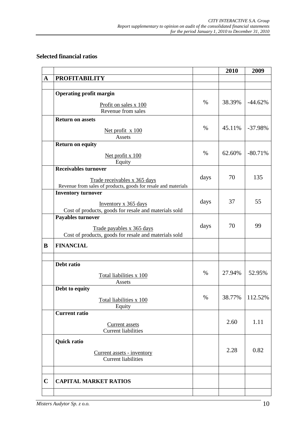# **Selected financial ratios**

|             |                                                                                                |      | 2010   | 2009             |
|-------------|------------------------------------------------------------------------------------------------|------|--------|------------------|
| $\mathbf A$ | <b>PROFITABILITY</b>                                                                           |      |        |                  |
|             |                                                                                                |      |        |                  |
|             | <b>Operating profit margin</b>                                                                 |      |        |                  |
|             | Profit on sales x 100                                                                          | $\%$ | 38.39% | $-44.62%$        |
|             | Revenue from sales                                                                             |      |        |                  |
|             | <b>Return on assets</b>                                                                        |      |        |                  |
|             |                                                                                                |      |        |                  |
|             | Net profit $x 100$                                                                             | $\%$ | 45.11% | $-37.98%$        |
|             | Assets                                                                                         |      |        |                  |
|             | <b>Return on equity</b>                                                                        |      |        |                  |
|             | Net profit x 100                                                                               | $\%$ | 62.60% | $-80.71%$        |
|             | Equity                                                                                         |      |        |                  |
|             | <b>Receivables turnover</b>                                                                    |      |        |                  |
|             |                                                                                                | days | 70     | 135              |
|             | Trade receivables x 365 days<br>Revenue from sales of products, goods for resale and materials |      |        |                  |
|             | <b>Inventory turnover</b>                                                                      |      |        |                  |
|             |                                                                                                |      | 37     | 55               |
|             | Inventory x 365 days                                                                           | days |        |                  |
|             | Cost of products, goods for resale and materials sold                                          |      |        |                  |
|             | <b>Payables turnover</b>                                                                       |      |        |                  |
|             | Trade payables x 365 days                                                                      | days | 70     | 99               |
|             | Cost of products, goods for resale and materials sold                                          |      |        |                  |
| B           | <b>FINANCIAL</b>                                                                               |      |        |                  |
|             |                                                                                                |      |        |                  |
|             |                                                                                                |      |        |                  |
|             | Debt ratio                                                                                     |      |        |                  |
|             | Total liabilities x 100                                                                        | $\%$ | 27.94% | 52.95%           |
|             | Assets                                                                                         |      |        |                  |
|             | Debt to equity                                                                                 |      |        |                  |
|             | Total liabilities x 100                                                                        | $\%$ |        | 38.77%   112.52% |
|             | Equity                                                                                         |      |        |                  |
|             | <b>Current ratio</b>                                                                           |      |        |                  |
|             |                                                                                                |      | 2.60   | 1.11             |
|             | <b>Current</b> assets                                                                          |      |        |                  |
|             | <b>Current liabilities</b>                                                                     |      |        |                  |
|             | <b>Quick ratio</b>                                                                             |      |        |                  |
|             |                                                                                                |      | 2.28   | 0.82             |
|             | Current assets - inventory<br><b>Current liabilities</b>                                       |      |        |                  |
|             |                                                                                                |      |        |                  |
|             |                                                                                                |      |        |                  |
| $\mathbf C$ | <b>CAPITAL MARKET RATIOS</b>                                                                   |      |        |                  |
|             |                                                                                                |      |        |                  |
|             |                                                                                                |      |        |                  |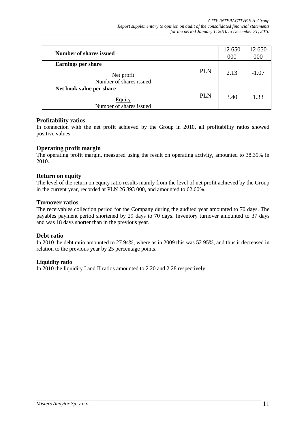| <b>Number of shares issued</b>                                       |            | 12 650<br>000 | 12 650<br>000 |
|----------------------------------------------------------------------|------------|---------------|---------------|
| <b>Earnings per share</b><br>Net profit<br>Number of shares issued   | <b>PLN</b> | 2.13          | $-1.07$       |
| Net book value per share<br><b>Equity</b><br>Number of shares issued | <b>PLN</b> | 3.40          | 1.33          |

#### **Profitability ratios**

In connection with the net profit achieved by the Group in 2010, all profitability ratios showed positive values.

#### **Operating profit margin**

The operating profit margin, measured using the result on operating activity, amounted to 38.39% in 2010.

#### **Return on equity**

The level of the return on equity ratio results mainly from the level of net profit achieved by the Group in the current year, recorded at PLN 26 893 000, and amounted to 62.60%.

#### **Turnover ratios**

The receivables collection period for the Company during the audited year amounted to 70 days. The payables payment period shortened by 29 days to 70 days. Inventory turnover amounted to 37 days and was 18 days shorter than in the previous year.

#### **Debt ratio**

In 2010 the debt ratio amounted to 27.94%, where as in 2009 this was 52.95%, and thus it decreased in relation to the previous year by 25 percentage points.

#### **Liquidity ratio**

In 2010 the liquidity I and II ratios amounted to 2.20 and 2.28 respectively.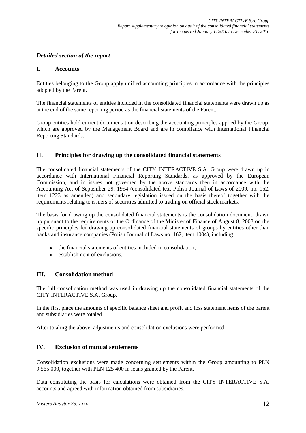## *Detailed section of the report*

#### **I. Accounts**

Entities belonging to the Group apply unified accounting principles in accordance with the principles adopted by the Parent.

The financial statements of entities included in the consolidated financial statements were drawn up as at the end of the same reporting period as the financial statements of the Parent.

Group entities hold current documentation describing the accounting principles applied by the Group, which are approved by the Management Board and are in compliance with International Financial Reporting Standards.

#### **II. Principles for drawing up the consolidated financial statements**

The consolidated financial statements of the CITY INTERACTIVE S.A. Group were drawn up in accordance with International Financial Reporting Standards, as approved by the European Commission, and in issues not governed by the above standards then in accordance with the Accounting Act of September 29, 1994 (consolidated text Polish Journal of Laws of 2009, no. 152, item 1223 as amended) and secondary legislation issued on the basis thereof together with the requirements relating to issuers of securities admitted to trading on official stock markets.

The basis for drawing up the consolidated financial statements is the consolidation document, drawn up pursuant to the requirements of the Ordinance of the Minister of Finance of August 8, 2008 on the specific principles for drawing up consolidated financial statements of groups by entities other than banks and insurance companies (Polish Journal of Laws no. 162, item 1004), including:

- the financial statements of entities included in consolidation,
- establishment of exclusions,

#### **III. Consolidation method**

The full consolidation method was used in drawing up the consolidated financial statements of the CITY INTERACTIVE S.A. Group.

In the first place the amounts of specific balance sheet and profit and loss statement items of the parent and subsidiaries were totaled.

After totaling the above, adjustments and consolidation exclusions were performed.

### **IV. Exclusion of mutual settlements**

Consolidation exclusions were made concerning settlements within the Group amounting to PLN 9 565 000, together with PLN 125 400 in loans granted by the Parent.

Data constituting the basis for calculations were obtained from the CITY INTERACTIVE S.A. accounts and agreed with information obtained from subsidiaries.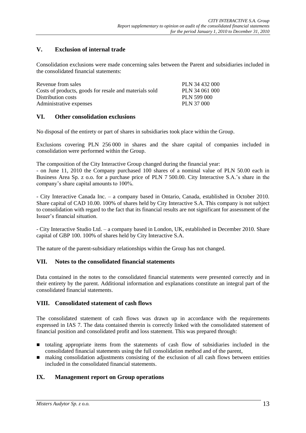# **V. Exclusion of internal trade**

Consolidation exclusions were made concerning sales between the Parent and subsidiaries included in the consolidated financial statements:

| Revenue from sales                                     | PLN 34 432 000 |
|--------------------------------------------------------|----------------|
| Costs of products, goods for resale and materials sold | PLN 34 061 000 |
| Distribution costs                                     | PLN 599 000    |
| Administrative expenses                                | PLN 37 000     |

#### **VI. Other consolidation exclusions**

No disposal of the entirety or part of shares in subsidiaries took place within the Group.

Exclusions covering PLN 256 000 in shares and the share capital of companies included in consolidation were performed within the Group.

The composition of the City Interactive Group changed during the financial year:

- on June 11, 2010 the Company purchased 100 shares of a nominal value of PLN 50.00 each in Business Area Sp. z o.o. for a purchase price of PLN 7 500.00. City Interactive S.A.'s share in the company's share capital amounts to 100%.

- City Interactive Canada Inc. – a company based in Ontario, Canada, established in October 2010. Share capital of CAD 10.00. 100% of shares held by City Interactive S.A. This company is not subject to consolidation with regard to the fact that its financial results are not significant for assessment of the Issuer's financial situation.

- City Interactive Studio Ltd. – a company based in London, UK, established in December 2010. Share capital of GBP 100. 100% of shares held by City Interactive S.A.

The nature of the parent-subsidiary relationships within the Group has not changed.

#### **VII. Notes to the consolidated financial statements**

Data contained in the notes to the consolidated financial statements were presented correctly and in their entirety by the parent. Additional information and explanations constitute an integral part of the consolidated financial statements.

#### **VIII. Consolidated statement of cash flows**

The consolidated statement of cash flows was drawn up in accordance with the requirements expressed in IAS 7. The data contained therein is correctly linked with the consolidated statement of financial position and consolidated profit and loss statement. This was prepared through:

- totaling appropriate items from the statements of cash flow of subsidiaries included in the consolidated financial statements using the full consolidation method and of the parent,
- making consolidation adjustments consisting of the exclusion of all cash flows between entities included in the consolidated financial statements.

#### **IX. Management report on Group operations**